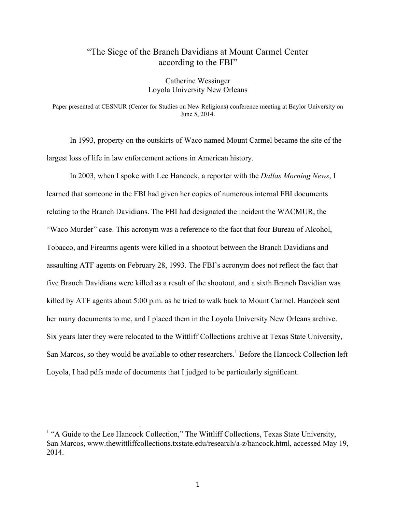# "The Siege of the Branch Davidians at Mount Carmel Center according to the FBI"

Catherine Wessinger Loyola University New Orleans

Paper presented at CESNUR (Center for Studies on New Religions) conference meeting at Baylor University on June 5, 2014.

In 1993, property on the outskirts of Waco named Mount Carmel became the site of the largest loss of life in law enforcement actions in American history.

In 2003, when I spoke with Lee Hancock, a reporter with the *Dallas Morning News*, I learned that someone in the FBI had given her copies of numerous internal FBI documents relating to the Branch Davidians. The FBI had designated the incident the WACMUR, the "Waco Murder" case. This acronym was a reference to the fact that four Bureau of Alcohol, Tobacco, and Firearms agents were killed in a shootout between the Branch Davidians and assaulting ATF agents on February 28, 1993. The FBI's acronym does not reflect the fact that five Branch Davidians were killed as a result of the shootout, and a sixth Branch Davidian was killed by ATF agents about 5:00 p.m. as he tried to walk back to Mount Carmel. Hancock sent her many documents to me, and I placed them in the Loyola University New Orleans archive. Six years later they were relocated to the Wittliff Collections archive at Texas State University, San Marcos, so they would be available to other researchers.<sup>1</sup> Before the Hancock Collection left Loyola, I had pdfs made of documents that I judged to be particularly significant.

<sup>&</sup>lt;sup>1</sup> "A Guide to the Lee Hancock Collection," The Wittliff Collections, Texas State University, San Marcos, www.thewittliffcollections.txstate.edu/research/a-z/hancock.html, accessed May 19, 2014.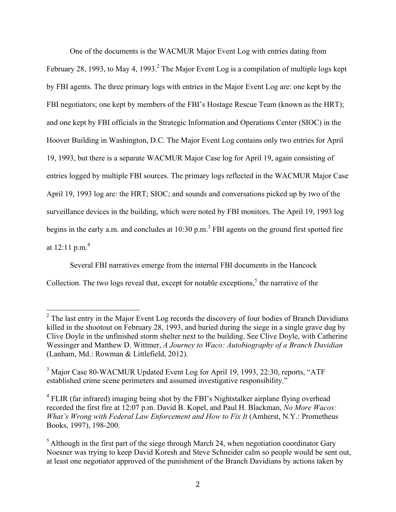One of the documents is the WACMUR Major Event Log with entries dating from February 28, 1993, to May 4, 1993.<sup>2</sup> The Major Event Log is a compilation of multiple logs kept by FBI agents. The three primary logs with entries in the Major Event Log are: one kept by the FBI negotiators; one kept by members of the FBI's Hostage Rescue Team (known as the HRT); and one kept by FBI officials in the Strategic Information and Operations Center (SIOC) in the Hoover Building in Washington, D.C. The Major Event Log contains only two entries for April 19, 1993, but there is a separate WACMUR Major Case log for April 19, again consisting of entries logged by multiple FBI sources. The primary logs reflected in the WACMUR Major Case April 19, 1993 log are: the HRT; SIOC; and sounds and conversations picked up by two of the surveillance devices in the building, which were noted by FBI monitors. The April 19, 1993 log begins in the early a.m. and concludes at  $10:30 \text{ p.m.}^3$  FBI agents on the ground first spotted fire at 12:11 p.m.<sup>4</sup>

Several FBI narratives emerge from the internal FBI documents in the Hancock Collection. The two logs reveal that, except for notable exceptions,<sup>5</sup> the narrative of the

 $<sup>2</sup>$  The last entry in the Major Event Log records the discovery of four bodies of Branch Davidians</sup> killed in the shootout on February 28, 1993, and buried during the siege in a single grave dug by Clive Doyle in the unfinished storm shelter next to the building. See Clive Doyle, with Catherine Wessinger and Matthew D. Wittmer, *A Journey to Waco: Autobiography of a Branch Davidian* (Lanham, Md.: Rowman & Littlefield, 2012).

<sup>&</sup>lt;sup>3</sup> Major Case 80-WACMUR Updated Event Log for April 19, 1993, 22:30, reports, "ATF established crime scene perimeters and assumed investigative responsibility."

 $4$  FLIR (far infrared) imaging being shot by the FBI's Nightstalker airplane flying overhead recorded the first fire at 12:07 p.m. David B. Kopel, and Paul H. Blackman, *No More Wacos: What's Wrong with Federal Law Enforcement and How to Fix It* (Amherst, N.Y.: Prometheus Books, 1997), 198-200.

 $<sup>5</sup>$  Although in the first part of the siege through March 24, when negotiation coordinator Gary</sup> Noesner was trying to keep David Koresh and Steve Schneider calm so people would be sent out, at least one negotiator approved of the punishment of the Branch Davidians by actions taken by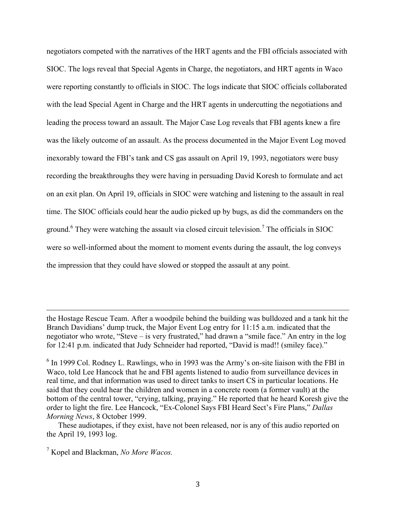negotiators competed with the narratives of the HRT agents and the FBI officials associated with SIOC. The logs reveal that Special Agents in Charge, the negotiators, and HRT agents in Waco were reporting constantly to officials in SIOC. The logs indicate that SIOC officials collaborated with the lead Special Agent in Charge and the HRT agents in undercutting the negotiations and leading the process toward an assault. The Major Case Log reveals that FBI agents knew a fire was the likely outcome of an assault. As the process documented in the Major Event Log moved inexorably toward the FBI's tank and CS gas assault on April 19, 1993, negotiators were busy recording the breakthroughs they were having in persuading David Koresh to formulate and act on an exit plan. On April 19, officials in SIOC were watching and listening to the assault in real time. The SIOC officials could hear the audio picked up by bugs, as did the commanders on the ground.<sup>6</sup> They were watching the assault via closed circuit television.<sup>7</sup> The officials in SIOC were so well-informed about the moment to moment events during the assault, the log conveys the impression that they could have slowed or stopped the assault at any point.

the Hostage Rescue Team. After a woodpile behind the building was bulldozed and a tank hit the Branch Davidians' dump truck, the Major Event Log entry for 11:15 a.m. indicated that the negotiator who wrote, "Steve – is very frustrated," had drawn a "smile face." An entry in the log for 12:41 p.m. indicated that Judy Schneider had reported, "David is mad!! (smiley face)."

!!!!!!!!!!!!!!!!!!!!!!!!!!!!!!!!!!!!!!!!!!!!!!!!!!!!!!!!!!!!!!!!!!!!!!!!!!!!!!!!!!!!!!!!!!!!!!!!!!!!!!!!!!!!!!!!!!!!!!!!!!!!!!!!!!!!!!!!!!!!!!!!!!!!!!!!!!!!!!!!!!!!!!!!!!!!!!!!!!

These audiotapes, if they exist, have not been released, nor is any of this audio reported on the April 19, 1993 log.

 $6$  In 1999 Col. Rodney L. Rawlings, who in 1993 was the Army's on-site liaison with the FBI in Waco, told Lee Hancock that he and FBI agents listened to audio from surveillance devices in real time, and that information was used to direct tanks to insert CS in particular locations. He said that they could hear the children and women in a concrete room (a former vault) at the bottom of the central tower, "crying, talking, praying." He reported that he heard Koresh give the order to light the fire. Lee Hancock, "Ex-Colonel Says FBI Heard Sect's Fire Plans," *Dallas Morning News*, 8 October 1999.

<sup>7</sup> Kopel and Blackman, *No More Wacos.*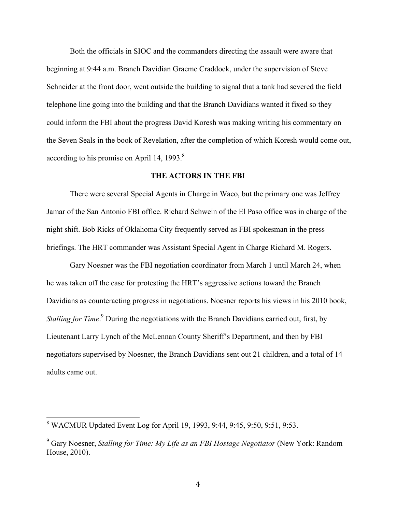Both the officials in SIOC and the commanders directing the assault were aware that beginning at 9:44 a.m. Branch Davidian Graeme Craddock, under the supervision of Steve Schneider at the front door, went outside the building to signal that a tank had severed the field telephone line going into the building and that the Branch Davidians wanted it fixed so they could inform the FBI about the progress David Koresh was making writing his commentary on the Seven Seals in the book of Revelation, after the completion of which Koresh would come out, according to his promise on April 14, 1993. $8$ 

#### **THE ACTORS IN THE FBI**

There were several Special Agents in Charge in Waco, but the primary one was Jeffrey Jamar of the San Antonio FBI office. Richard Schwein of the El Paso office was in charge of the night shift. Bob Ricks of Oklahoma City frequently served as FBI spokesman in the press briefings. The HRT commander was Assistant Special Agent in Charge Richard M. Rogers.

Gary Noesner was the FBI negotiation coordinator from March 1 until March 24, when he was taken off the case for protesting the HRT's aggressive actions toward the Branch Davidians as counteracting progress in negotiations. Noesner reports his views in his 2010 book, *Stalling for Time.*<sup>9</sup> During the negotiations with the Branch Davidians carried out, first, by Lieutenant Larry Lynch of the McLennan County Sheriff's Department, and then by FBI negotiators supervised by Noesner, the Branch Davidians sent out 21 children, and a total of 14 adults came out.

<sup>&</sup>lt;sup>8</sup> WACMUR Updated Event Log for April 19, 1993, 9:44, 9:45, 9:50, 9:51, 9:53.

<sup>9</sup> Gary Noesner, *Stalling for Time: My Life as an FBI Hostage Negotiator* (New York: Random House, 2010).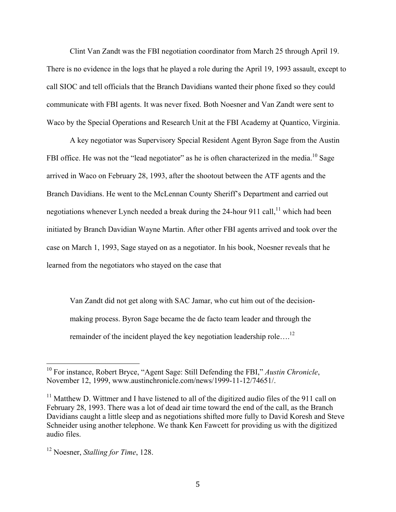Clint Van Zandt was the FBI negotiation coordinator from March 25 through April 19. There is no evidence in the logs that he played a role during the April 19, 1993 assault, except to call SIOC and tell officials that the Branch Davidians wanted their phone fixed so they could communicate with FBI agents. It was never fixed. Both Noesner and Van Zandt were sent to Waco by the Special Operations and Research Unit at the FBI Academy at Quantico, Virginia.

A key negotiator was Supervisory Special Resident Agent Byron Sage from the Austin FBI office. He was not the "lead negotiator" as he is often characterized in the media.<sup>10</sup> Sage arrived in Waco on February 28, 1993, after the shootout between the ATF agents and the Branch Davidians. He went to the McLennan County Sheriff's Department and carried out negotiations whenever Lynch needed a break during the 24-hour 911 call,<sup>11</sup> which had been initiated by Branch Davidian Wayne Martin. After other FBI agents arrived and took over the case on March 1, 1993, Sage stayed on as a negotiator. In his book, Noesner reveals that he learned from the negotiators who stayed on the case that

Van Zandt did not get along with SAC Jamar, who cut him out of the decisionmaking process. Byron Sage became the de facto team leader and through the remainder of the incident played the key negotiation leadership role....<sup>12</sup>

<sup>&</sup>lt;sup>10</sup> For instance, Robert Bryce, "Agent Sage: Still Defending the FBI," *Austin Chronicle*, November 12, 1999, www.austinchronicle.com/news/1999-11-12/74651/.

 $11$  Matthew D. Wittmer and I have listened to all of the digitized audio files of the 911 call on February 28, 1993. There was a lot of dead air time toward the end of the call, as the Branch Davidians caught a little sleep and as negotiations shifted more fully to David Koresh and Steve Schneider using another telephone. We thank Ken Fawcett for providing us with the digitized audio files.

<sup>12</sup> Noesner, *Stalling for Time*, 128.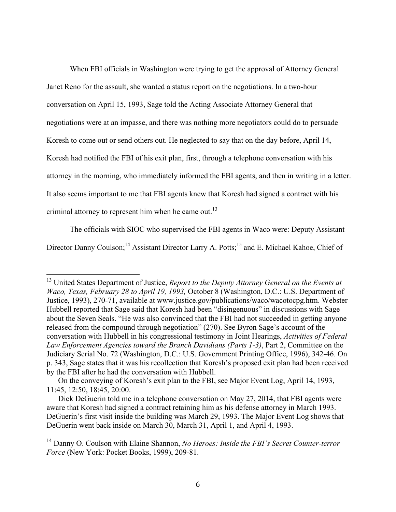When FBI officials in Washington were trying to get the approval of Attorney General Janet Reno for the assault, she wanted a status report on the negotiations. In a two-hour conversation on April 15, 1993, Sage told the Acting Associate Attorney General that negotiations were at an impasse, and there was nothing more negotiators could do to persuade Koresh to come out or send others out. He neglected to say that on the day before, April 14, Koresh had notified the FBI of his exit plan, first, through a telephone conversation with his attorney in the morning, who immediately informed the FBI agents, and then in writing in a letter. It also seems important to me that FBI agents knew that Koresh had signed a contract with his criminal attorney to represent him when he came out. $^{13}$ 

The officials with SIOC who supervised the FBI agents in Waco were: Deputy Assistant

Director Danny Coulson;<sup>14</sup> Assistant Director Larry A. Potts;<sup>15</sup> and E. Michael Kahoe, Chief of

<sup>&</sup>lt;sup>13</sup> United States Department of Justice, *Report to the Deputy Attorney General on the Events at Waco, Texas, February 28 to April 19, 1993,* October 8 (Washington, D.C.: U.S. Department of Justice, 1993), 270-71, available at www.justice.gov/publications/waco/wacotocpg.htm. Webster Hubbell reported that Sage said that Koresh had been "disingenuous" in discussions with Sage about the Seven Seals. "He was also convinced that the FBI had not succeeded in getting anyone released from the compound through negotiation" (270). See Byron Sage's account of the conversation with Hubbell in his congressional testimony in Joint Hearings, *Activities of Federal Law Enforcement Agencies toward the Branch Davidians (Parts 1-3)*, Part 2, Committee on the Judiciary Serial No. 72 (Washington, D.C.: U.S. Government Printing Office, 1996), 342-46. On p. 343, Sage states that it was his recollection that Koresh's proposed exit plan had been received by the FBI after he had the conversation with Hubbell.

On the conveying of Koresh's exit plan to the FBI, see Major Event Log, April 14, 1993, 11:45, 12:50, 18:45, 20:00.

Dick DeGuerin told me in a telephone conversation on May 27, 2014, that FBI agents were aware that Koresh had signed a contract retaining him as his defense attorney in March 1993. DeGuerin's first visit inside the building was March 29, 1993. The Major Event Log shows that DeGuerin went back inside on March 30, March 31, April 1, and April 4, 1993.

<sup>14</sup> Danny O. Coulson with Elaine Shannon, *No Heroes: Inside the FBI's Secret Counter-terror Force* (New York: Pocket Books, 1999), 209-81.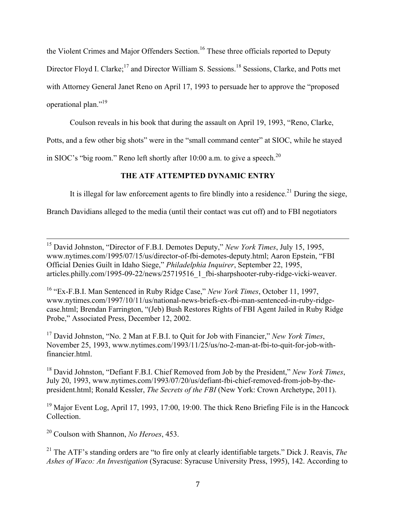the Violent Crimes and Major Offenders Section.<sup>16</sup> These three officials reported to Deputy

Director Floyd I. Clarke;<sup>17</sup> and Director William S. Sessions.<sup>18</sup> Sessions, Clarke, and Potts met

with Attorney General Janet Reno on April 17, 1993 to persuade her to approve the "proposed

operational plan."19

Coulson reveals in his book that during the assault on April 19, 1993, "Reno, Clarke,

Potts, and a few other big shots" were in the "small command center" at SIOC, while he stayed

in SIOC's "big room." Reno left shortly after  $10:00$  a.m. to give a speech.<sup>20</sup>

## **THE ATF ATTEMPTED DYNAMIC ENTRY**

It is illegal for law enforcement agents to fire blindly into a residence.<sup>21</sup> During the siege,

Branch Davidians alleged to the media (until their contact was cut off) and to FBI negotiators

<sup>15</sup> David Johnston, "Director of F.B.I. Demotes Deputy," New York Times, July 15, 1995, www.nytimes.com/1995/07/15/us/director-of-fbi-demotes-deputy.html; Aaron Epstein, "FBI Official Denies Guilt in Idaho Siege," *Philadelphia Inquirer*, September 22, 1995, articles.philly.com/1995-09-22/news/25719516\_1\_fbi-sharpshooter-ruby-ridge-vicki-weaver.

<sup>16</sup> "Ex-F.B.I. Man Sentenced in Ruby Ridge Case," *New York Times*, October 11, 1997, www.nytimes.com/1997/10/11/us/national-news-briefs-ex-fbi-man-sentenced-in-ruby-ridgecase.html; Brendan Farrington, "(Jeb) Bush Restores Rights of FBI Agent Jailed in Ruby Ridge Probe," Associated Press, December 12, 2002.

<sup>17</sup> David Johnston, "No. 2 Man at F.B.I. to Quit for Job with Financier," *New York Times*, November 25, 1993, www.nytimes.com/1993/11/25/us/no-2-man-at-fbi-to-quit-for-job-withfinancier.html.

<sup>18</sup> David Johnston, "Defiant F.B.I. Chief Removed from Job by the President," *New York Times*, July 20, 1993, www.nytimes.com/1993/07/20/us/defiant-fbi-chief-removed-from-job-by-thepresident.html; Ronald Kessler, *The Secrets of the FBI* (New York: Crown Archetype, 2011).

<sup>19</sup> Major Event Log, April 17, 1993, 17:00, 19:00. The thick Reno Briefing File is in the Hancock Collection.

<sup>20</sup> Coulson with Shannon, *No Heroes*, 453.

<sup>21</sup> The ATF's standing orders are "to fire only at clearly identifiable targets." Dick J. Reavis, *The Ashes of Waco: An Investigation* (Syracuse: Syracuse University Press, 1995), 142. According to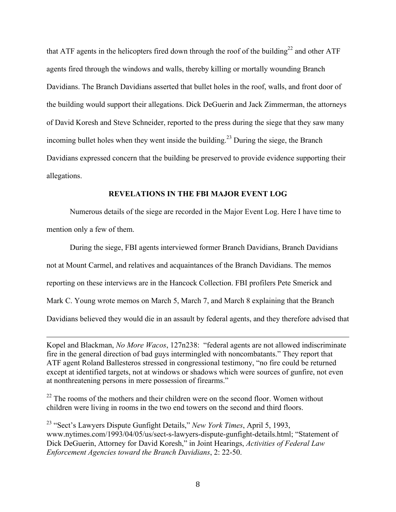that ATF agents in the helicopters fired down through the roof of the building<sup>22</sup> and other ATF agents fired through the windows and walls, thereby killing or mortally wounding Branch Davidians. The Branch Davidians asserted that bullet holes in the roof, walls, and front door of the building would support their allegations. Dick DeGuerin and Jack Zimmerman, the attorneys of David Koresh and Steve Schneider, reported to the press during the siege that they saw many incoming bullet holes when they went inside the building.<sup>23</sup> During the siege, the Branch Davidians expressed concern that the building be preserved to provide evidence supporting their allegations.

### **REVELATIONS IN THE FBI MAJOR EVENT LOG**

Numerous details of the siege are recorded in the Major Event Log. Here I have time to mention only a few of them.

During the siege, FBI agents interviewed former Branch Davidians, Branch Davidians not at Mount Carmel, and relatives and acquaintances of the Branch Davidians. The memos reporting on these interviews are in the Hancock Collection. FBI profilers Pete Smerick and Mark C. Young wrote memos on March 5, March 7, and March 8 explaining that the Branch Davidians believed they would die in an assault by federal agents, and they therefore advised that

Kopel and Blackman, *No More Wacos*, 127n238: "federal agents are not allowed indiscriminate fire in the general direction of bad guys intermingled with noncombatants." They report that ATF agent Roland Ballesteros stressed in congressional testimony, "no fire could be returned except at identified targets, not at windows or shadows which were sources of gunfire, not even at nonthreatening persons in mere possession of firearms."

!!!!!!!!!!!!!!!!!!!!!!!!!!!!!!!!!!!!!!!!!!!!!!!!!!!!!!!!!!!!!!!!!!!!!!!!!!!!!!!!!!!!!!!!!!!!!!!!!!!!!!!!!!!!!!!!!!!!!!!!!!!!!!!!!!!!!!!!!!!!!!!!!!!!!!!!!!!!!!!!!!!!!!!!!!!!!!!!!!

 $22$  The rooms of the mothers and their children were on the second floor. Women without children were living in rooms in the two end towers on the second and third floors.

<sup>23</sup> "Sect's Lawyers Dispute Gunfight Details," *New York Times*, April 5, 1993, www.nytimes.com/1993/04/05/us/sect-s-lawyers-dispute-gunfight-details.html; "Statement of Dick DeGuerin, Attorney for David Koresh," in Joint Hearings, *Activities of Federal Law Enforcement Agencies toward the Branch Davidians*, 2: 22-50.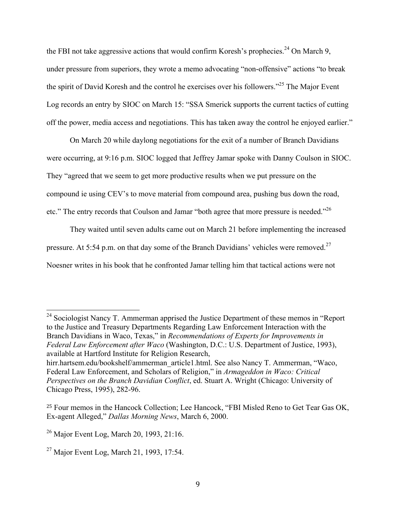the FBI not take aggressive actions that would confirm Koresh's prophecies.<sup>24</sup> On March 9, under pressure from superiors, they wrote a memo advocating "non-offensive" actions "to break the spirit of David Koresh and the control he exercises over his followers."<sup>25</sup> The Major Event Log records an entry by SIOC on March 15: "SSA Smerick supports the current tactics of cutting off the power, media access and negotiations. This has taken away the control he enjoyed earlier."

On March 20 while daylong negotiations for the exit of a number of Branch Davidians were occurring, at 9:16 p.m. SIOC logged that Jeffrey Jamar spoke with Danny Coulson in SIOC. They "agreed that we seem to get more productive results when we put pressure on the compound ie using CEV's to move material from compound area, pushing bus down the road, etc." The entry records that Coulson and Jamar "both agree that more pressure is needed."<sup>26</sup>

They waited until seven adults came out on March 21 before implementing the increased pressure. At 5:54 p.m. on that day some of the Branch Davidians' vehicles were removed.<sup>27</sup> Noesner writes in his book that he confronted Jamar telling him that tactical actions were not

<sup>&</sup>lt;sup>24</sup> Sociologist Nancy T. Ammerman apprised the Justice Department of these memos in "Report" to the Justice and Treasury Departments Regarding Law Enforcement Interaction with the Branch Davidians in Waco, Texas," in *Recommendations of Experts for Improvements in Federal Law Enforcement after Waco* (Washington, D.C.: U.S. Department of Justice, 1993), available at Hartford Institute for Religion Research, hirr.hartsem.edu/bookshelf/ammerman\_article1.html. See also Nancy T. Ammerman, "Waco,

Federal Law Enforcement, and Scholars of Religion," in *Armageddon in Waco: Critical Perspectives on the Branch Davidian Conflict*, ed. Stuart A. Wright (Chicago: University of Chicago Press, 1995), 282-96.

<sup>25</sup> Four memos in the Hancock Collection; Lee Hancock, "FBI Misled Reno to Get Tear Gas OK, Ex-agent Alleged," *Dallas Morning News*, March 6, 2000.

<sup>&</sup>lt;sup>26</sup> Major Event Log, March 20, 1993, 21:16.

<sup>&</sup>lt;sup>27</sup> Major Event Log, March 21, 1993, 17:54.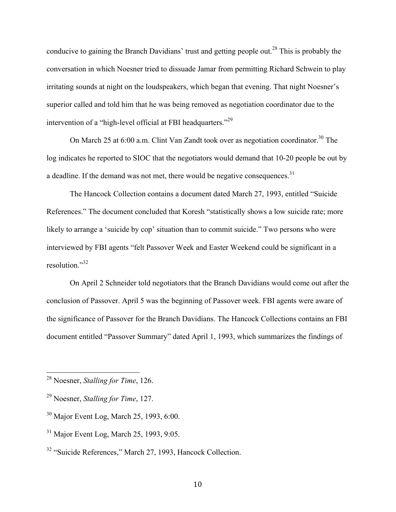conducive to gaining the Branch Davidians' trust and getting people out.<sup>28</sup> This is probably the conversation in which Noesner tried to dissuade Jamar from permitting Richard Schwein to play irritating sounds at night on the loudspeakers, which began that evening. That night Noesner's superior called and told him that he was being removed as negotiation coordinator due to the intervention of a "high-level official at FBI headquarters."<sup>29</sup>

On March 25 at 6:00 a.m. Clint Van Zandt took over as negotiation coordinator.<sup>30</sup> The log indicates he reported to SIOC that the negotiators would demand that 10-20 people be out by a deadline. If the demand was not met, there would be negative consequences.<sup>31</sup>

The Hancock Collection contains a document dated March 27, 1993, entitled "Suicide References." The document concluded that Koresh "statistically shows a low suicide rate; more likely to arrange a 'suicide by cop' situation than to commit suicide." Two persons who were interviewed by FBI agents "felt Passover Week and Easter Weekend could be significant in a resolution."<sup>32</sup>

On April 2 Schneider told negotiators that the Branch Davidians would come out after the conclusion of Passover. April 5 was the beginning of Passover week. FBI agents were aware of the significance of Passover for the Branch Davidians. The Hancock Collections contains an FBI document entitled "Passover Summary" dated April 1, 1993, which summarizes the findings of

<sup>&</sup>lt;sup>28</sup> Noesner, *Stalling for Time*, 126.

<sup>29</sup> Noesner, *Stalling for Time*, 127.

<sup>30</sup> Major Event Log, March 25, 1993, 6:00.

<sup>31</sup> Major Event Log, March 25, 1993, 9:05.

<sup>32</sup> "Suicide References," March 27, 1993, Hancock Collection.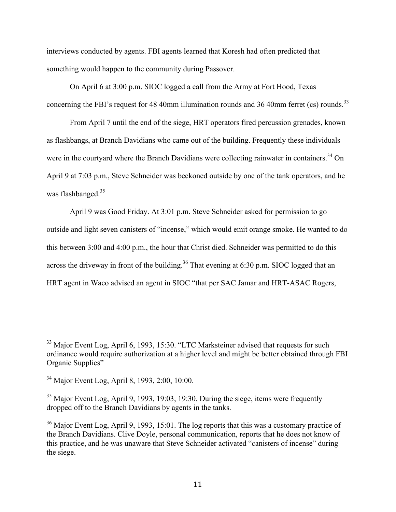interviews conducted by agents. FBI agents learned that Koresh had often predicted that something would happen to the community during Passover.

On April 6 at 3:00 p.m. SIOC logged a call from the Army at Fort Hood, Texas concerning the FBI's request for 48 40mm illumination rounds and 36 40mm ferret (cs) rounds.<sup>33</sup>

From April 7 until the end of the siege, HRT operators fired percussion grenades, known as flashbangs, at Branch Davidians who came out of the building. Frequently these individuals were in the courtyard where the Branch Davidians were collecting rainwater in containers.<sup>34</sup> On April 9 at 7:03 p.m., Steve Schneider was beckoned outside by one of the tank operators, and he was flashbanged.<sup>35</sup>

April 9 was Good Friday. At 3:01 p.m. Steve Schneider asked for permission to go outside and light seven canisters of "incense," which would emit orange smoke. He wanted to do this between 3:00 and 4:00 p.m., the hour that Christ died. Schneider was permitted to do this across the driveway in front of the building.<sup>36</sup> That evening at 6:30 p.m. SIOC logged that an HRT agent in Waco advised an agent in SIOC "that per SAC Jamar and HRT-ASAC Rogers,

 $33$  Major Event Log, April 6, 1993, 15:30. "LTC Marksteiner advised that requests for such ordinance would require authorization at a higher level and might be better obtained through FBI Organic Supplies"

<sup>34</sup> Major Event Log, April 8, 1993, 2:00, 10:00.

 $35$  Major Event Log, April 9, 1993, 19:03, 19:30. During the siege, items were frequently dropped off to the Branch Davidians by agents in the tanks.

<sup>&</sup>lt;sup>36</sup> Major Event Log, April 9, 1993, 15:01. The log reports that this was a customary practice of the Branch Davidians. Clive Doyle, personal communication, reports that he does not know of this practice, and he was unaware that Steve Schneider activated "canisters of incense" during the siege.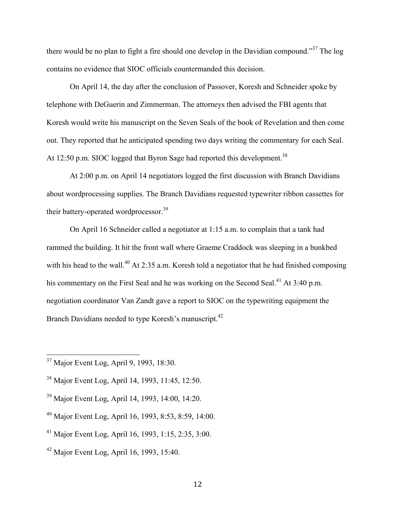there would be no plan to fight a fire should one develop in the Davidian compound."<sup>37</sup> The log contains no evidence that SIOC officials countermanded this decision.

On April 14, the day after the conclusion of Passover, Koresh and Schneider spoke by telephone with DeGuerin and Zimmerman. The attorneys then advised the FBI agents that Koresh would write his manuscript on the Seven Seals of the book of Revelation and then come out. They reported that he anticipated spending two days writing the commentary for each Seal. At 12:50 p.m. SIOC logged that Byron Sage had reported this development.<sup>38</sup>

At 2:00 p.m. on April 14 negotiators logged the first discussion with Branch Davidians about wordprocessing supplies. The Branch Davidians requested typewriter ribbon cassettes for their battery-operated wordprocessor.<sup>39</sup>

On April 16 Schneider called a negotiator at 1:15 a.m. to complain that a tank had rammed the building. It hit the front wall where Graeme Craddock was sleeping in a bunkbed with his head to the wall.<sup>40</sup> At 2:35 a.m. Koresh told a negotiator that he had finished composing his commentary on the First Seal and he was working on the Second Seal.<sup>41</sup> At 3:40 p.m. negotiation coordinator Van Zandt gave a report to SIOC on the typewriting equipment the Branch Davidians needed to type Koresh's manuscript.<sup>42</sup>

<sup>&</sup>lt;sup>37</sup> Major Event Log, April 9, 1993, 18:30.

<sup>38</sup> Major Event Log, April 14, 1993, 11:45, 12:50.

<sup>39</sup> Major Event Log, April 14, 1993, 14:00, 14:20.

<sup>40</sup> Major Event Log, April 16, 1993, 8:53, 8:59, 14:00.

<sup>41</sup> Major Event Log, April 16, 1993, 1:15, 2:35, 3:00.

<sup>42</sup> Major Event Log, April 16, 1993, 15:40.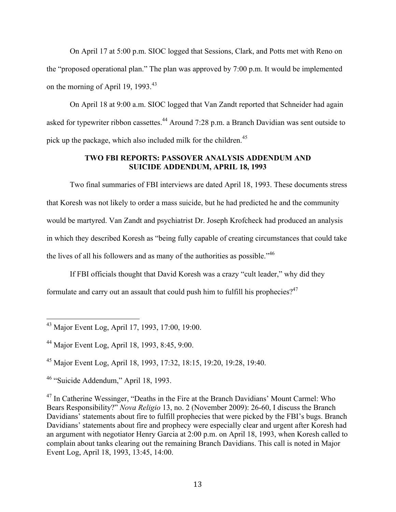On April 17 at 5:00 p.m. SIOC logged that Sessions, Clark, and Potts met with Reno on the "proposed operational plan." The plan was approved by 7:00 p.m. It would be implemented on the morning of April 19, 1993.<sup>43</sup>

On April 18 at 9:00 a.m. SIOC logged that Van Zandt reported that Schneider had again asked for typewriter ribbon cassettes.<sup>44</sup> Around 7:28 p.m. a Branch Davidian was sent outside to pick up the package, which also included milk for the children.<sup>45</sup>

### **TWO FBI REPORTS: PASSOVER ANALYSIS ADDENDUM AND SUICIDE ADDENDUM, APRIL 18, 1993**

Two final summaries of FBI interviews are dated April 18, 1993. These documents stress that Koresh was not likely to order a mass suicide, but he had predicted he and the community would be martyred. Van Zandt and psychiatrist Dr. Joseph Krofcheck had produced an analysis in which they described Koresh as "being fully capable of creating circumstances that could take the lives of all his followers and as many of the authorities as possible.<sup> $,46$ </sup>

If FBI officials thought that David Koresh was a crazy "cult leader," why did they formulate and carry out an assault that could push him to fulfill his prophecies? $47$ 

<sup>&</sup>lt;sup>43</sup> Major Event Log, April 17, 1993, 17:00, 19:00.

<sup>44</sup> Major Event Log, April 18, 1993, 8:45, 9:00.

<sup>45</sup> Major Event Log, April 18, 1993, 17:32, 18:15, 19:20, 19:28, 19:40.

<sup>46</sup> "Suicide Addendum," April 18, 1993.

<sup>&</sup>lt;sup>47</sup> In Catherine Wessinger, "Deaths in the Fire at the Branch Davidians' Mount Carmel: Who Bears Responsibility?" *Nova Religio* 13, no. 2 (November 2009): 26-60, I discuss the Branch Davidians' statements about fire to fulfill prophecies that were picked by the FBI's bugs. Branch Davidians' statements about fire and prophecy were especially clear and urgent after Koresh had an argument with negotiator Henry Garcia at 2:00 p.m. on April 18, 1993, when Koresh called to complain about tanks clearing out the remaining Branch Davidians. This call is noted in Major Event Log, April 18, 1993, 13:45, 14:00.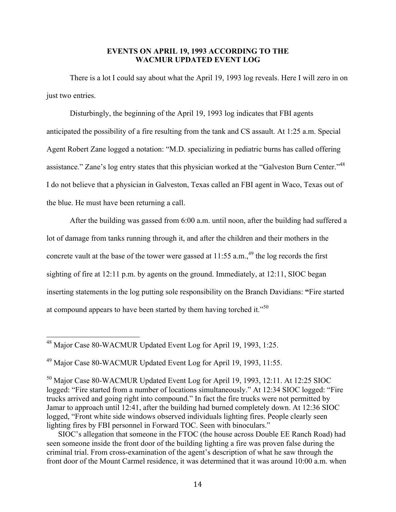#### **EVENTS ON APRIL 19, 1993 ACCORDING TO THE WACMUR UPDATED EVENT LOG**

There is a lot I could say about what the April 19, 1993 log reveals. Here I will zero in on just two entries.

Disturbingly, the beginning of the April 19, 1993 log indicates that FBI agents anticipated the possibility of a fire resulting from the tank and CS assault. At 1:25 a.m. Special Agent Robert Zane logged a notation: "M.D. specializing in pediatric burns has called offering assistance." Zane's log entry states that this physician worked at the "Galveston Burn Center."<sup>48</sup> I do not believe that a physician in Galveston, Texas called an FBI agent in Waco, Texas out of the blue. He must have been returning a call.

After the building was gassed from 6:00 a.m. until noon, after the building had suffered a lot of damage from tanks running through it, and after the children and their mothers in the concrete vault at the base of the tower were gassed at  $11:55$  a.m., <sup>49</sup> the log records the first sighting of fire at 12:11 p.m. by agents on the ground. Immediately, at 12:11, SIOC began inserting statements in the log putting sole responsibility on the Branch Davidians: **"**Fire started at compound appears to have been started by them having torched it."<sup>50</sup>

<sup>48</sup> Major Case 80-WACMUR Updated Event Log for April 19, 1993, 1:25.

<sup>49</sup> Major Case 80-WACMUR Updated Event Log for April 19, 1993, 11:55.

<sup>50</sup> Major Case 80-WACMUR Updated Event Log for April 19, 1993, 12:11. At 12:25 SIOC logged: "Fire started from a number of locations simultaneously." At 12:34 SIOC logged: "Fire trucks arrived and going right into compound." In fact the fire trucks were not permitted by Jamar to approach until 12:41, after the building had burned completely down. At 12:36 SIOC logged, "Front white side windows observed individuals lighting fires. People clearly seen lighting fires by FBI personnel in Forward TOC. Seen with binoculars."

SIOC's allegation that someone in the FTOC (the house across Double EE Ranch Road) had seen someone inside the front door of the building lighting a fire was proven false during the criminal trial. From cross-examination of the agent's description of what he saw through the front door of the Mount Carmel residence, it was determined that it was around 10:00 a.m. when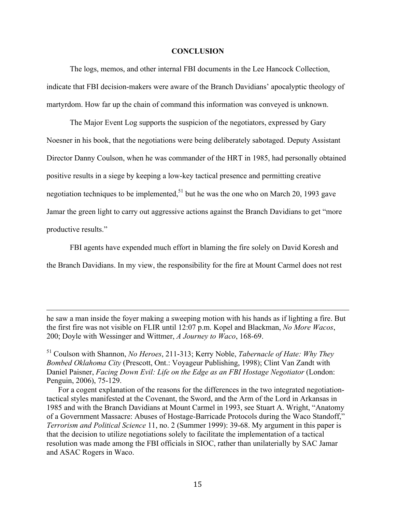#### **CONCLUSION**

The logs, memos, and other internal FBI documents in the Lee Hancock Collection, indicate that FBI decision-makers were aware of the Branch Davidians' apocalyptic theology of martyrdom. How far up the chain of command this information was conveyed is unknown.

The Major Event Log supports the suspicion of the negotiators, expressed by Gary Noesner in his book, that the negotiations were being deliberately sabotaged. Deputy Assistant Director Danny Coulson, when he was commander of the HRT in 1985, had personally obtained positive results in a siege by keeping a low-key tactical presence and permitting creative negotiation techniques to be implemented,  $51$  but he was the one who on March 20, 1993 gave Jamar the green light to carry out aggressive actions against the Branch Davidians to get "more productive results."

FBI agents have expended much effort in blaming the fire solely on David Koresh and the Branch Davidians. In my view, the responsibility for the fire at Mount Carmel does not rest

he saw a man inside the foyer making a sweeping motion with his hands as if lighting a fire. But the first fire was not visible on FLIR until 12:07 p.m. Kopel and Blackman, *No More Wacos*, 200; Doyle with Wessinger and Wittmer, *A Journey to Waco*, 168-69.

!!!!!!!!!!!!!!!!!!!!!!!!!!!!!!!!!!!!!!!!!!!!!!!!!!!!!!!!!!!!!!!!!!!!!!!!!!!!!!!!!!!!!!!!!!!!!!!!!!!!!!!!!!!!!!!!!!!!!!!!!!!!!!!!!!!!!!!!!!!!!!!!!!!!!!!!!!!!!!!!!!!!!!!!!!!!!!!!!!

<sup>51</sup> Coulson with Shannon, *No Heroes*, 211-313; Kerry Noble, *Tabernacle of Hate: Why They Bombed Oklahoma City* (Prescott, Ont.: Voyageur Publishing, 1998); Clint Van Zandt with Daniel Paisner, *Facing Down Evil: Life on the Edge as an FBI Hostage Negotiator* (London: Penguin, 2006), 75-129.

For a cogent explanation of the reasons for the differences in the two integrated negotiationtactical styles manifested at the Covenant, the Sword, and the Arm of the Lord in Arkansas in 1985 and with the Branch Davidians at Mount Carmel in 1993, see Stuart A. Wright, "Anatomy of a Government Massacre: Abuses of Hostage-Barricade Protocols during the Waco Standoff," *Terrorism and Political Science* 11, no. 2 (Summer 1999): 39-68. My argument in this paper is that the decision to utilize negotiations solely to facilitate the implementation of a tactical resolution was made among the FBI officials in SIOC, rather than unilaterially by SAC Jamar and ASAC Rogers in Waco.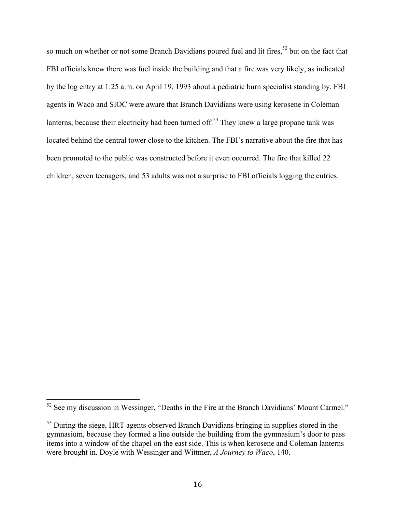so much on whether or not some Branch Davidians poured fuel and lit fires,<sup>52</sup> but on the fact that FBI officials knew there was fuel inside the building and that a fire was very likely, as indicated by the log entry at 1:25 a.m. on April 19, 1993 about a pediatric burn specialist standing by. FBI agents in Waco and SIOC were aware that Branch Davidians were using kerosene in Coleman lanterns, because their electricity had been turned off.<sup>53</sup> They knew a large propane tank was located behind the central tower close to the kitchen. The FBI's narrative about the fire that has been promoted to the public was constructed before it even occurred. The fire that killed 22 children, seven teenagers, and 53 adults was not a surprise to FBI officials logging the entries.

 $52$  See my discussion in Wessinger, "Deaths in the Fire at the Branch Davidians' Mount Carmel."

<sup>&</sup>lt;sup>53</sup> During the siege, HRT agents observed Branch Davidians bringing in supplies stored in the gymnasium, because they formed a line outside the building from the gymnasium's door to pass items into a window of the chapel on the east side. This is when kerosene and Coleman lanterns were brought in. Doyle with Wessinger and Wittmer, *A Journey to Waco*, 140.